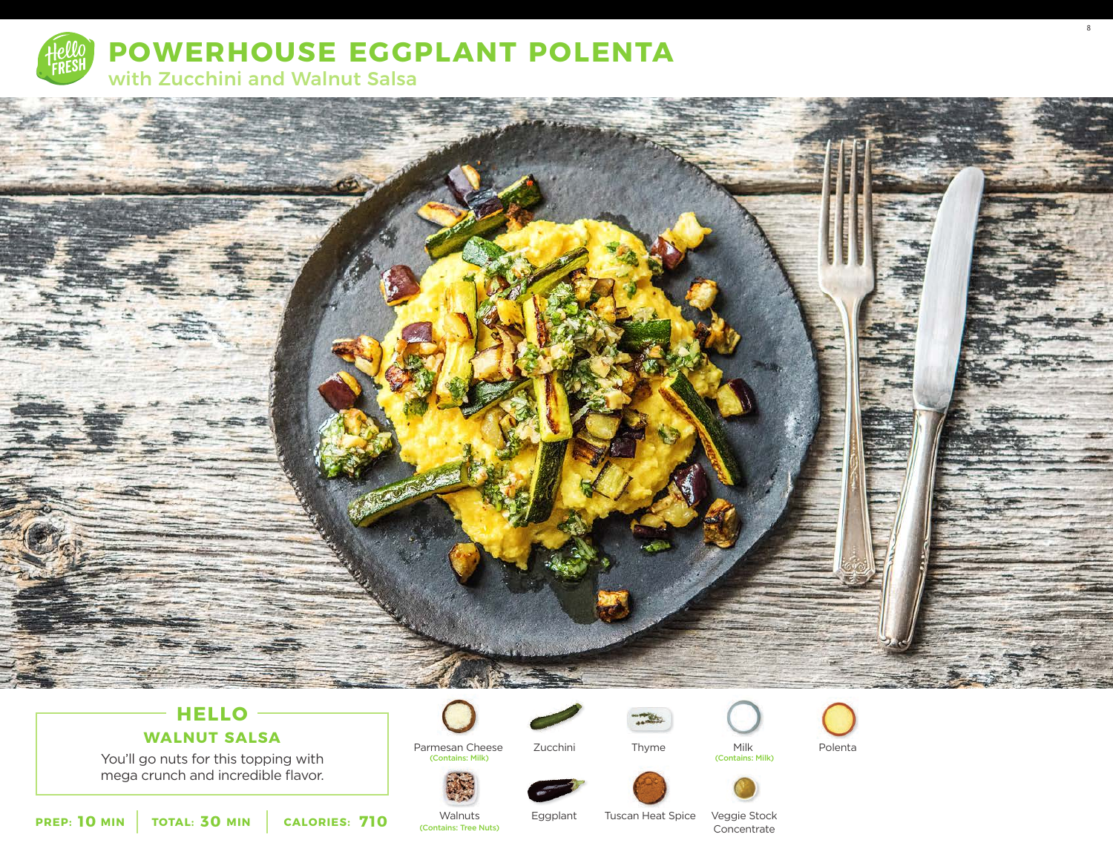



# **HELLO**

# **WALNUT SALSA**

You'll go nuts for this topping with mega crunch and incredible flavor.



Parmesan Cheese (Contains: Milk) (Contains: Milk)

Zucchini Thyme Milk Polenta<br>
Contains: Milk)





8

**PREP: 10 MIN** TOTAL: 30 MIN CALORIES: 710 Walnuts

(Contains: Tree Nuts)

Eggplant

Tuscan Heat Spice

Thyme

Concentrate

Veggie Stock